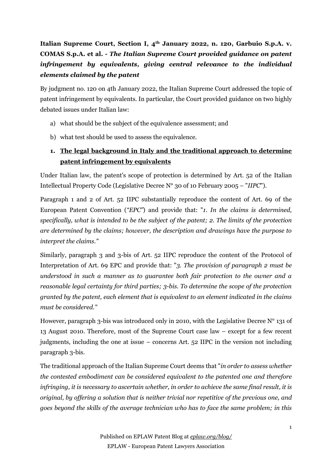# **Italian Supreme Court, Section I, 4th January 2022, n. 120, Garbuio S.p.A. v. COMAS S.p.A. et al. -** *The Italian Supreme Court provided guidance on patent infringement by equivalents, giving central relevance to the individual elements claimed by the patent*

By judgment no. 120 on 4th January 2022, the Italian Supreme Court addressed the topic of patent infringement by equivalents. In particular, the Court provided guidance on two highly debated issues under Italian law:

- a) what should be the subject of the equivalence assessment; and
- b) what test should be used to assess the equivalence.

## **1. The legal background in Italy and the traditional approach to determine patent infringement by equivalents**

Under Italian law, the patent's scope of protection is determined by Art. 52 of the Italian Intellectual Property Code (Legislative Decree N° 30 of 10 February 2005 – "*IIPC*").

Paragraph 1 and 2 of Art. 52 IIPC substantially reproduce the content of Art. 69 of the European Patent Convention (*"EPC"*) and provide that: "*1. In the claims is determined, specifically, what is intended to be the subject of the patent; 2. The limits of the protection are determined by the claims; however, the description and drawings have the purpose to interpret the claims."*

Similarly, paragraph 3 and 3-bis of Art. 52 IIPC reproduce the content of the Protocol of Interpretation of Art. 69 EPC and provide that: "*3. The provision of paragraph 2 must be understood in such a manner as to guarantee both fair protection to the owner and a reasonable legal certainty for third parties; 3-bis. To determine the scope of the protection granted by the patent, each element that is equivalent to an element indicated in the claims must be considered."*

However, paragraph 3-bis was introduced only in 2010, with the Legislative Decree N° 131 of 13 August 2010. Therefore, most of the Supreme Court case law – except for a few recent judgments, including the one at issue – concerns Art. 52 IIPC in the version not including paragraph 3-bis.

The traditional approach of the Italian Supreme Court deems that "*in order to assess whether the contested embodiment can be considered equivalent to the patented one and therefore infringing, it is necessary to ascertain whether, in order to achieve the same final result, it is original, by offering a solution that is neither trivial nor repetitive of the previous one, and goes beyond the skills of the average technician who has to face the same problem; in this*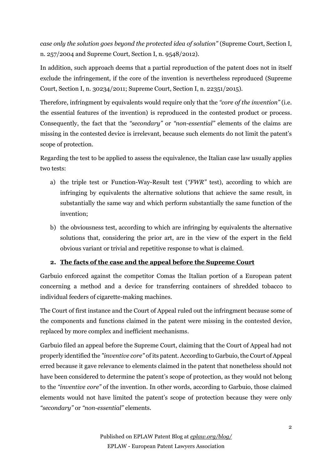*case only the solution goes beyond the protected idea of solution"* (Supreme Court, Section I, n. 257/2004 and Supreme Court, Section I, n. 9548/2012)*.*

In addition, such approach deems that a partial reproduction of the patent does not in itself exclude the infringement, if the core of the invention is nevertheless reproduced (Supreme Court, Section I, n. 30234/2011; Supreme Court, Section I, n. 22351/2015).

Therefore, infringment by equivalents would require only that the *"core of the invention"* (i.e. the essential features of the invention) is reproduced in the contested product or process. Consequently, the fact that the *"secondary"* or *"non-essential"* elements of the claims are missing in the contested device is irrelevant, because such elements do not limit the patent's scope of protection.

Regarding the test to be applied to assess the equivalence, the Italian case law usually applies two tests:

- a) the triple test or Function-Way-Result test (*"FWR"* test), according to which are infringing by equivalents the alternative solutions that achieve the same result, in substantially the same way and which perform substantially the same function of the invention;
- b) the obviousness test, according to which are infringing by equivalents the alternative solutions that, considering the prior art, are in the view of the expert in the field obvious variant or trivial and repetitive response to what is claimed.

## **2. The facts of the case and the appeal before the Supreme Court**

Garbuio enforced against the competitor Comas the Italian portion of a European patent concerning a method and a device for transferring containers of shredded tobacco to individual feeders of cigarette-making machines.

The Court of first instance and the Court of Appeal ruled out the infringment because some of the components and functions claimed in the patent were missing in the contested device, replaced by more complex and inefficient mechanisms.

Garbuio filed an appeal before the Supreme Court, claiming that the Court of Appeal had not properly identified the *"inventive core"* of its patent. According to Garbuio, the Court of Appeal erred because it gave relevance to elements claimed in the patent that nonetheless should not have been considered to determine the patent's scope of protection, as they would not belong to the *"inventive core"* of the invention. In other words, according to Garbuio, those claimed elements would not have limited the patent's scope of protection because they were only *"secondary"* or *"non-essential"* elements.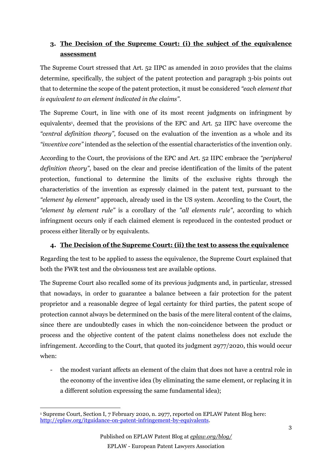# **3. The Decision of the Supreme Court: (i) the subject of the equivalence assessment**

The Supreme Court stressed that Art. 52 IIPC as amended in 2010 provides that the claims determine, specifically, the subject of the patent protection and paragraph 3-bis points out that to determine the scope of the patent protection, it must be considered *"each element that is equivalent to an element indicated in the claims"*.

The Supreme Court, in line with one of its most recent judgments on infringment by equivalents<sup>1</sup>, deemed that the provisions of the EPC and Art. 52 IIPC have overcome the *"central definition theory"*, focused on the evaluation of the invention as a whole and its *"inventive core"* intended as the selection of the essential characteristics of the invention only.

According to the Court, the provisions of the EPC and Art. 52 IIPC embrace the *"peripheral definition theory"*, based on the clear and precise identification of the limits of the patent protection, functional to determine the limits of the exclusive rights through the characteristics of the invention as expressly claimed in the patent text, pursuant to the *"element by element"* approach, already used in the US system. According to the Court, the *"element by element rule"* is a corollary of the *"all elements rule"*, according to which infringment occurs only if each claimed element is reproduced in the contested product or process either literally or by equivalents.

## **4. The Decision of the Supreme Court: (ii) the test to assess the equivalence**

Regarding the test to be applied to assess the equivalence, the Supreme Court explained that both the FWR test and the obviousness test are available options.

The Supreme Court also recalled some of its previous judgments and, in particular, stressed that nowadays, in order to guarantee a balance between a fair protection for the patent proprietor and a reasonable degree of legal certainty for third parties, the patent scope of protection cannot always be determined on the basis of the mere literal content of the claims, since there are undoubtedly cases in which the non-coincidence between the product or process and the objective content of the patent claims nonetheless does not exclude the infringement. According to the Court, that quoted its judgment 2977/2020, this would occur when:

- the modest variant affects an element of the claim that does not have a central role in the economy of the inventive idea (by eliminating the same element, or replacing it in a different solution expressing the same fundamental idea);

<sup>1</sup> Supreme Court, Section I, 7 February 2020, n. 2977, reported on EPLAW Patent Blog here: [http://eplaw.org/itguidance-on-patent-infringement-by-equivalents.](http://eplaw.org/itguidance-on-patent-infringement-by-equivalents)